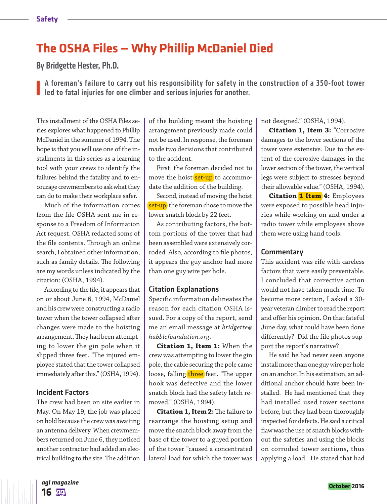## **The OSHA Files — Why Phillip McDaniel Died**

By Bridgette Hester, Ph.D.

A foreman's failure to carry out his responsibility for safety in the construction of a 350-foot tower **led to fatal injuries for one climber and serious injuries for another.** 

This installment of the OSHA Files series explores what happened to Phillip McDaniel in the summer of 1994. The hope is that you will use one of the installments in this series as a learning tool with your crews to identify the failures behind the fatality and to encourage crewmembers to ask what they can do to make their workplace safer.

Much of the information comes from the file OSHA sent me in response to a Freedom of Information Act request. OSHA redacted some of the file contents. Through an online search, I obtained other information, such as family details. The following are my words unless indicated by the citation: (OSHA, 1994).

According to the file, it appears that on or about June 6, 1994, McDaniel and his crew were constructing a radio tower when the tower collapsed after changes were made to the hoisting arrangement. They had been attempting to lower the gin pole when it slipped three feet. "The injured employee stated that the tower collapsed immediately after this." (OSHA, 1994).

#### Incident Factors

The crew had been on site earlier in May. On May 19, the job was placed on hold because the crew was awaiting an antenna delivery. When crewmembers returned on June 6, they noticed another contractor had added an electrical building to the site. The addition of the building meant the hoisting arrangement previously made could not be used. In response, the foreman made two decisions that contributed to the accident.

First, the foreman decided not to move the hoist set-up to accommodate the addition of the building.

Second, instead of moving the hoist set-up, the foreman chose to move the lower snatch block by 22 feet.

As contributing factors, the bottom portions of the tower that had been assembled were extensively corroded. Also, according to file photos, it appears the guy anchor had more than one guy wire per hole.

#### Citation Explanations

Specific information delineates the reason for each citation OSHA issued. For a copy of the report, send me an email message at *bridgette@ hubblefoundation.org*.

**Citation 1, Item 1:** When the crew was attempting to lower the gin pole, the cable securing the pole came loose, falling three feet. "The upper hook was defective and the lower snatch block had the safety latch removed." (OSHA, 1994).

**Citation 1, Item 2:** The failure to rearrange the hoisting setup and move the snatch block away from the base of the tower to a guyed portion of the tower "caused a concentrated lateral load for which the tower was

not designed." (OSHA, 1994).

**Citation 1, Item 3:** "Corrosive damages to the lower sections of the tower were extensive. Due to the extent of the corrosive damages in the lower section of the tower, the vertical legs were subject to stresses beyond their allowable value." (OSHA, 1994).

**Citation 1 Item 4:** Employees were exposed to possible head injuries while working on and under a radio tower while employees above them were using hand tools.

#### **Commentary**

This accident was rife with careless factors that were easily preventable. I concluded that corrective action would not have taken much time. To become more certain, I asked a 30 year veteran climber to read the report and offer his opinion. On that fateful June day, what could have been done differently? Did the file photos support the report's narrative?

He said he had never seen anyone install more than one guy wire per hole on an anchor. In his estimation, an additional anchor should have been installed. He had mentioned that they had installed used tower sections before, but they had been thoroughly inspected for defects. He said a critical flaw was the use of snatch blocks without the safeties and using the blocks on corroded tower sections, thus applying a load. He stated that had

*agl magazine* **16**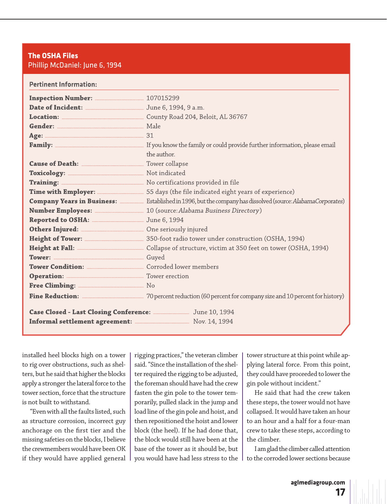#### **The OSHA Files** Phillip McDaniel: June 6, 1994

| <b>Pertinent Information:</b> |                                                                                                                   |
|-------------------------------|-------------------------------------------------------------------------------------------------------------------|
|                               |                                                                                                                   |
|                               |                                                                                                                   |
|                               |                                                                                                                   |
|                               |                                                                                                                   |
|                               |                                                                                                                   |
|                               |                                                                                                                   |
|                               | the author.                                                                                                       |
|                               |                                                                                                                   |
|                               |                                                                                                                   |
|                               |                                                                                                                   |
|                               |                                                                                                                   |
|                               | Company Years in Business: <i></i> Established in 1996, but the company has dissolved (source: AlabamaCorporates) |
|                               |                                                                                                                   |
|                               |                                                                                                                   |
|                               |                                                                                                                   |
|                               |                                                                                                                   |
|                               |                                                                                                                   |
|                               |                                                                                                                   |
|                               |                                                                                                                   |
|                               |                                                                                                                   |
|                               |                                                                                                                   |
|                               |                                                                                                                   |
|                               |                                                                                                                   |
|                               |                                                                                                                   |
|                               |                                                                                                                   |

installed heel blocks high on a tower to rig over obstructions, such as shelters, but he said that higher the blocks apply a stronger the lateral force to the tower section, force that the structure is not built to withstand.

"Even with all the faults listed, such as structure corrosion, incorrect guy anchorage on the first tier and the missing safeties on the blocks, I believe the crewmembers would have been OK if they would have applied general rigging practices," the veteran climber said. "Since the installation of the shelter required the rigging to be adjusted, the foreman should have had the crew fasten the gin pole to the tower temporarily, pulled slack in the jump and load line of the gin pole and hoist, and then repositioned the hoist and lower block (the heel). If he had done that, the block would still have been at the base of the tower as it should be, but you would have had less stress to the

tower structure at this point while applying lateral force. From this point, they could have proceeded to lower the gin pole without incident."

He said that had the crew taken these steps, the tower would not have collapsed. It would have taken an hour to an hour and a half for a four-man crew to take these steps, according to the climber.

I am glad the climber called attention to the corroded lower sections because